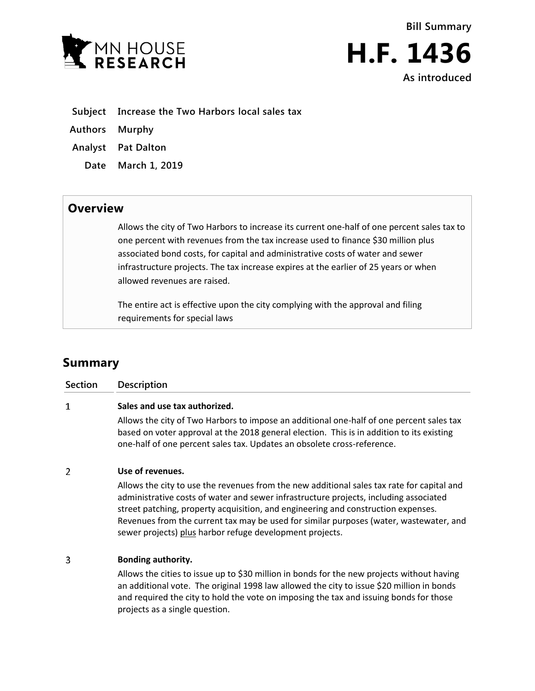



- **Subject Increase the Two Harbors local sales tax**
- **Authors Murphy**
- **Analyst Pat Dalton**
	- **Date March 1, 2019**

## **Overview**

Allows the city of Two Harbors to increase its current one-half of one percent sales tax to one percent with revenues from the tax increase used to finance \$30 million plus associated bond costs, for capital and administrative costs of water and sewer infrastructure projects. The tax increase expires at the earlier of 25 years or when allowed revenues are raised.

The entire act is effective upon the city complying with the approval and filing requirements for special laws

# **Summary**

| <b>Section</b> | <b>Description</b>                                                                                                                                                                                                                                               |
|----------------|------------------------------------------------------------------------------------------------------------------------------------------------------------------------------------------------------------------------------------------------------------------|
| 1              | Sales and use tax authorized.                                                                                                                                                                                                                                    |
|                | Allows the city of Two Harbors to impose an additional one-half of one percent sales tax<br>based on voter approval at the 2018 general election. This is in addition to its existing<br>one-half of one percent sales tax. Updates an obsolete cross-reference. |
| $\mathcal{P}$  | Use of revenues.<br>Allows the city to use the revenues from the new additional sales tay rate for capital and                                                                                                                                                   |

Allows the city to use the revenues from the new additional sales tax rate for capital and administrative costs of water and sewer infrastructure projects, including associated street patching, property acquisition, and engineering and construction expenses. Revenues from the current tax may be used for similar purposes (water, wastewater, and sewer projects) plus harbor refuge development projects.

#### 3 **Bonding authority.**

Allows the cities to issue up to \$30 million in bonds for the new projects without having an additional vote. The original 1998 law allowed the city to issue \$20 million in bonds and required the city to hold the vote on imposing the tax and issuing bonds for those projects as a single question.